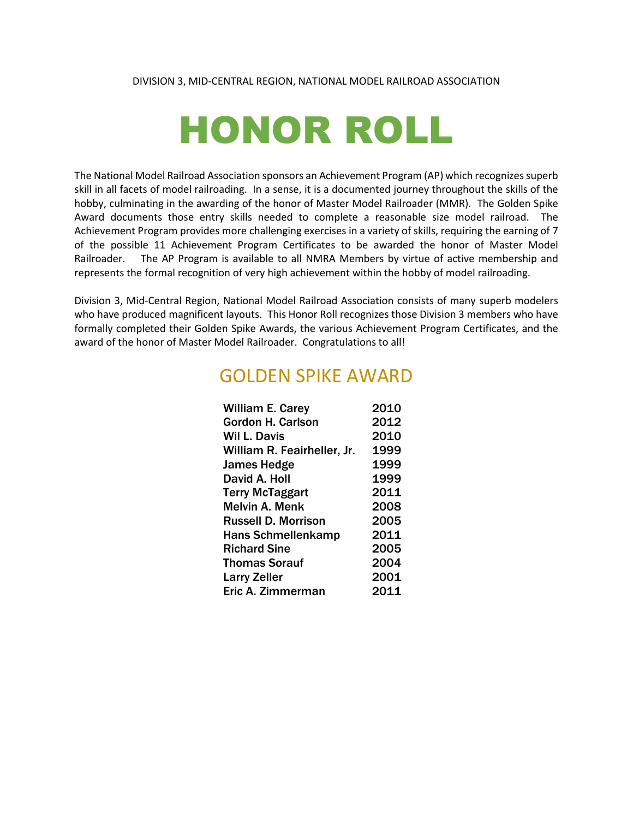# HONOR ROLL

The National Model Railroad Association sponsors an Achievement Program (AP) which recognizes superb skill in all facets of model railroading. In a sense, it is a documented journey throughout the skills of the hobby, culminating in the awarding of the honor of Master Model Railroader (MMR). The Golden Spike Award documents those entry skills needed to complete a reasonable size model railroad. The Achievement Program provides more challenging exercises in a variety of skills, requiring the earning of 7 of the possible 11 Achievement Program Certificates to be awarded the honor of Master Model Railroader. The AP Program is available to all NMRA Members by virtue of active membership and represents the formal recognition of very high achievement within the hobby of model railroading.

Division 3, Mid-Central Region, National Model Railroad Association consists of many superb modelers who have produced magnificent layouts. This Honor Roll recognizes those Division 3 members who have formally completed their Golden Spike Awards, the various Achievement Program Certificates, and the award of the honor of Master Model Railroader. Congratulations to all!

# GOLDEN SPIKE AWARD

| <b>William E. Carey</b>     | 2010 |
|-----------------------------|------|
| Gordon H. Carlson           | 2012 |
| Wil L. Davis                | 2010 |
| William R. Feairheller, Jr. | 1999 |
| James Hedge                 | 1999 |
| David A. Holl               | 1999 |
| <b>Terry McTaggart</b>      | 2011 |
| <b>Melvin A. Menk</b>       | 2008 |
| <b>Russell D. Morrison</b>  | 2005 |
| <b>Hans Schmellenkamp</b>   | 2011 |
| <b>Richard Sine</b>         | 2005 |
| Thomas Sorauf               | 2004 |
| <b>Larry Zeller</b>         | 2001 |
| Eric A. Zimmerman           | 2011 |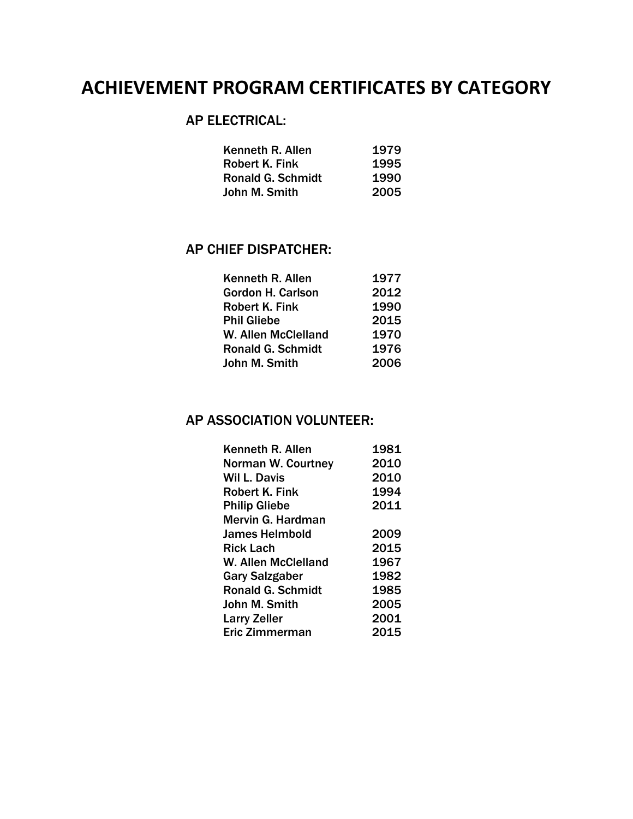# ACHIEVEMENT PROGRAM CERTIFICATES BY CATEGORY

## AP ELECTRICAL:

| Kenneth R. Allen         | 1979 |
|--------------------------|------|
| <b>Robert K. Fink</b>    | 1995 |
| <b>Ronald G. Schmidt</b> | 1990 |
| John M. Smith            | 2005 |

#### AP CHIEF DISPATCHER:

| Kenneth R. Allen         | 1977 |
|--------------------------|------|
| <b>Gordon H. Carlson</b> | 2012 |
| <b>Robert K. Fink</b>    | 1990 |
| <b>Phil Gliebe</b>       | 2015 |
| W. Allen McClelland      | 1970 |
| <b>Ronald G. Schmidt</b> | 1976 |
| John M. Smith            | 2006 |

#### AP ASSOCIATION VOLUNTEER:

| Kenneth R. Allen         | 1981 |
|--------------------------|------|
| Norman W. Courtney       | 2010 |
| Wil L. Davis             | 2010 |
| Robert K. Fink           | 1994 |
| <b>Philip Gliebe</b>     | 2011 |
| Mervin G. Hardman        |      |
| <b>James Helmbold</b>    | 2009 |
| <b>Rick Lach</b>         | 2015 |
| W. Allen McClelland      | 1967 |
| <b>Gary Salzgaber</b>    | 1982 |
| <b>Ronald G. Schmidt</b> | 1985 |
| John M. Smith            | 2005 |
| <b>Larry Zeller</b>      | 2001 |
| <b>Eric Zimmerman</b>    | 2015 |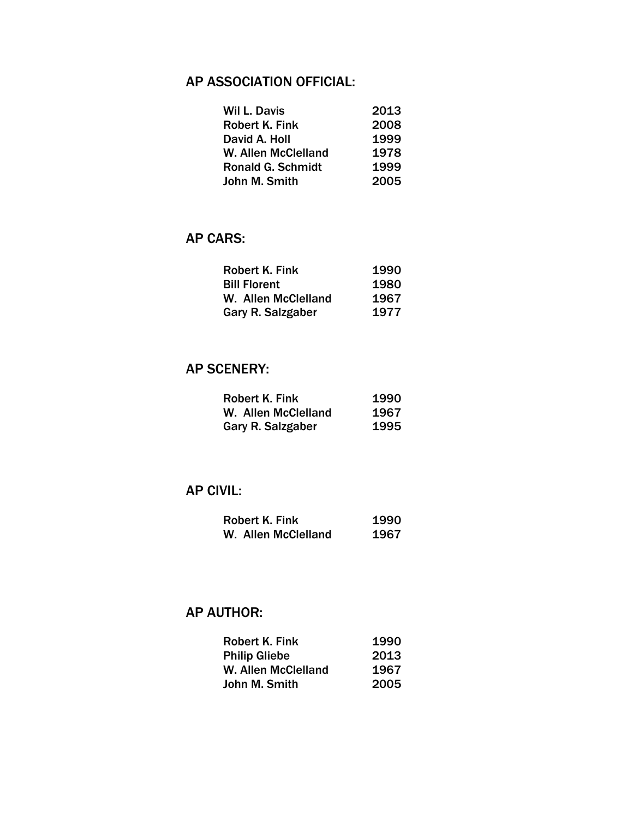# AP ASSOCIATION OFFICIAL:

| Wil L. Davis               | 2013 |
|----------------------------|------|
| Robert K. Fink             | 2008 |
| David A. Holl              | 1999 |
| <b>W. Allen McClelland</b> | 1978 |
| <b>Ronald G. Schmidt</b>   | 1999 |
| John M. Smith              | 2005 |
|                            |      |

### AP CARS:

| Robert K. Fink      | 1990 |
|---------------------|------|
| <b>Bill Florent</b> | 1980 |
| W. Allen McClelland | 1967 |
| Gary R. Salzgaber   | 1977 |

## AP SCENERY:

| <b>Robert K. Fink</b> | 1990 |
|-----------------------|------|
| W. Allen McClelland   | 1967 |
| Gary R. Salzgaber     | 1995 |

#### AP CIVIL:

| <b>Robert K. Fink</b> | 1990 |
|-----------------------|------|
| W. Allen McClelland   | 1967 |

## AP AUTHOR:

| <b>Robert K. Fink</b> | 1990 |
|-----------------------|------|
| <b>Philip Gliebe</b>  | 2013 |
| W. Allen McClelland   | 1967 |
| John M. Smith         | 2005 |